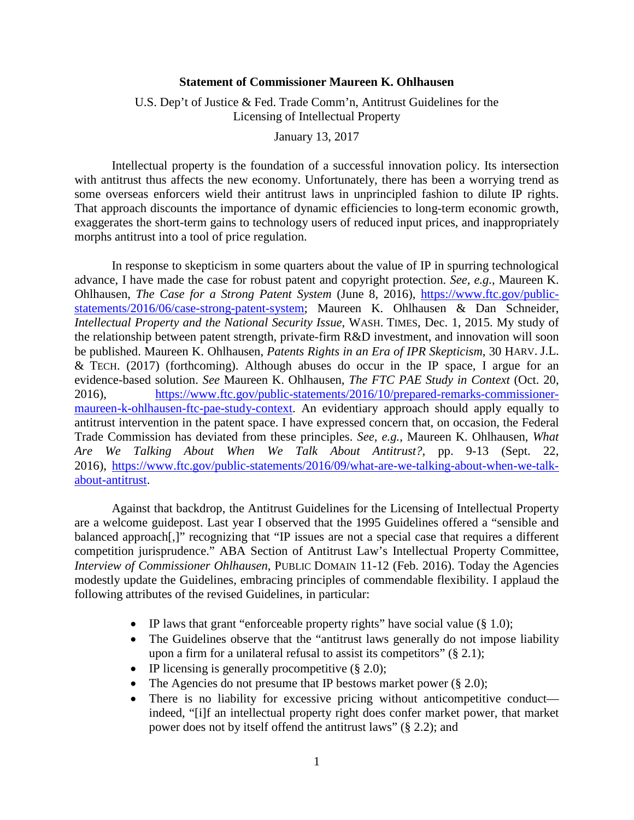## **Statement of Commissioner Maureen K. Ohlhausen**

## U.S. Dep't of Justice & Fed. Trade Comm'n, Antitrust Guidelines for the Licensing of Intellectual Property

January 13, 2017

 with antitrust thus affects the new economy. Unfortunately, there has been a worrying trend as That approach discounts the importance of dynamic efficiencies to long-term economic growth, exaggerates the short-term gains to technology users of reduced input prices, and inappropriately Intellectual property is the foundation of a successful innovation policy. Its intersection some overseas enforcers wield their antitrust laws in unprincipled fashion to dilute IP rights. morphs antitrust into a tool of price regulation.

 be published. Maureen K. Ohlhausen, *Patents Rights in an Era of IPR Skepticism*, 30 HARV. J.L. & TECH. (2017) (forthcoming). Although abuses do occur in the IP space, I argue for an In response to skepticism in some quarters about the value of IP in spurring technological advance, I have made the case for robust patent and copyright protection. *See, e.g.*, Maureen K. Ohlhausen, *The Case for a Strong Patent System* (June 8, 2016), https://www.ftc.gov/publicstatements/2016/06/case-strong-patent-system; Maureen K. Ohlhausen & Dan Schneider, *Intellectual Property and the National Security Issue*, WASH. TIMES, Dec. 1, 2015. My study of the relationship between patent strength, private-firm R&D investment, and innovation will soon evidence-based solution. *See* Maureen K. Ohlhausen, *The FTC PAE Study in Context* (Oct. 20, 2016), https://www.ftc.gov/public-statements/2016/10/prepared-remarks-commissionermaureen-k-ohlhausen-ftc-pae-study-context. An evidentiary approach should apply equally to antitrust intervention in the patent space. I have expressed concern that, on occasion, the Federal Trade Commission has deviated from these principles. *See, e.g.*, Maureen K. Ohlhausen, *What Are We Talking About When We Talk About Antitrust?*, pp. 9-13 (Sept. 22, 2016), https://www.ftc.gov/public-statements/2016/09/what-are-we-talking-about-when-we-talkabout-antitrust.

 are a welcome guidepost. Last year I observed that the 1995 Guidelines offered a "sensible and balanced approach[,]" recognizing that "IP issues are not a special case that requires a different competition jurisprudence." ABA Section of Antitrust Law's Intellectual Property Committee, Against that backdrop, the Antitrust Guidelines for the Licensing of Intellectual Property *Interview of Commissioner Ohlhausen*, PUBLIC DOMAIN 11-12 (Feb. 2016). Today the Agencies modestly update the Guidelines, embracing principles of commendable flexibility. I applaud the following attributes of the revised Guidelines, in particular:

- IP laws that grant "enforceable property rights" have social value  $(\S 1.0)$ ;
- The Guidelines observe that the "antitrust laws generally do not impose liability upon a firm for a unilateral refusal to assist its competitors"  $(\S 2.1)$ ;
- IP licensing is generally procompetitive  $(\S 2.0)$ ;
- The Agencies do not presume that IP bestows market power  $(\S 2.0)$ ;
- power does not by itself offend the antitrust laws" (§ 2.2); and • There is no liability for excessive pricing without anticompetitive conduct indeed, "[i]f an intellectual property right does confer market power, that market